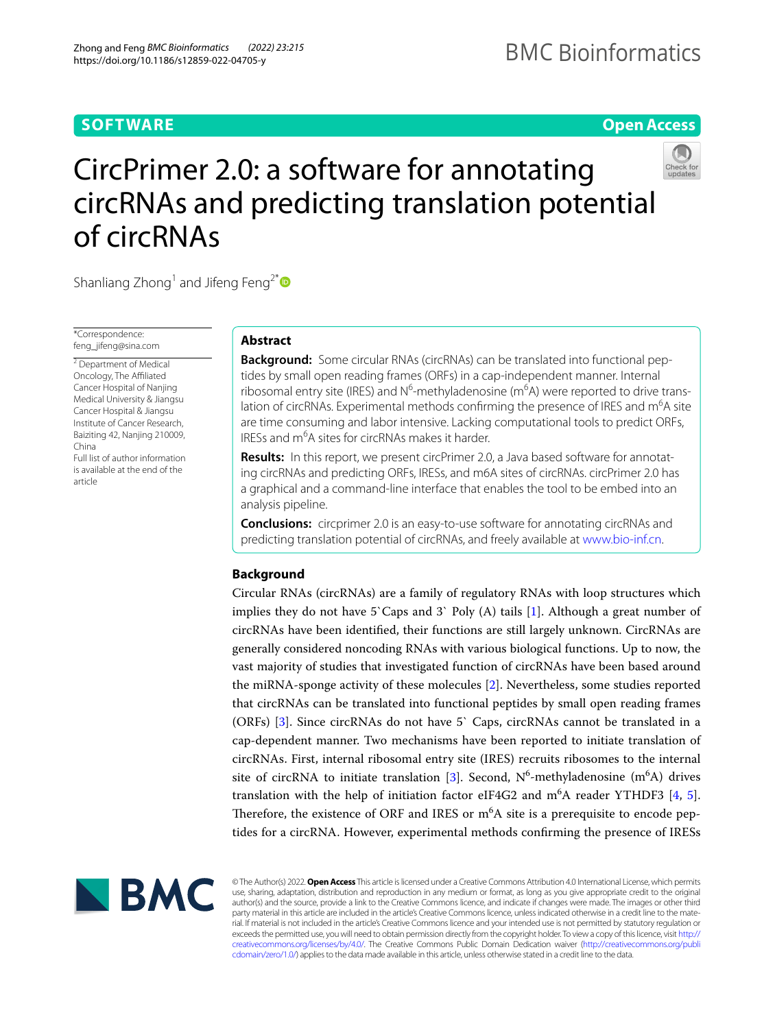# **SOFTWARE**

of circRNAs

# **Open Access**

# CircPrimer 2.0: a software for annotating circRNAs and predicting translation potential



# Shanliang Zhong<sup>1</sup> and Jifeng Feng<sup>2\*</sup>

\*Correspondence: feng\_jifeng@sina.com

<sup>2</sup> Department of Medical Oncology, The Affiliated Cancer Hospital of Nanjing Medical University & Jiangsu Cancer Hospital & Jiangsu Institute of Cancer Research, Baiziting 42, Nanjing 210009, China

Full list of author information is available at the end of the article

# **Abstract**

**Background:** Some circular RNAs (circRNAs) can be translated into functional peptides by small open reading frames (ORFs) in a cap-independent manner. Internal ribosomal entry site (IRES) and N<sup>6</sup>-methyladenosine (m<sup>6</sup>A) were reported to drive translation of circRNAs. Experimental methods confirming the presence of IRES and m<sup>6</sup>A site are time consuming and labor intensive. Lacking computational tools to predict ORFs, IRESs and m<sup>6</sup>A sites for circRNAs makes it harder.

**Results:** In this report, we present circPrimer 2.0, a Java based software for annotating circRNAs and predicting ORFs, IRESs, and m6A sites of circRNAs. circPrimer 2.0 has a graphical and a command-line interface that enables the tool to be embed into an analysis pipeline.

**Conclusions:** circprimer 2.0 is an easy-to-use software for annotating circRNAs and predicting translation potential of circRNAs, and freely available at [www.bio-inf.cn.](http://www.bio-inf.cn)

# **Background**

Circular RNAs (circRNAs) are a family of regulatory RNAs with loop structures which implies they do not have 5`Caps and 3` Poly  $(A)$  tails  $[1]$  $[1]$ . Although a great number of circRNAs have been identifed, their functions are still largely unknown. CircRNAs are generally considered noncoding RNAs with various biological functions. Up to now, the vast majority of studies that investigated function of circRNAs have been based around the miRNA-sponge activity of these molecules [\[2](#page-6-1)]. Nevertheless, some studies reported that circRNAs can be translated into functional peptides by small open reading frames (ORFs) [\[3](#page-6-2)]. Since circRNAs do not have 5` Caps, circRNAs cannot be translated in a cap-dependent manner. Two mechanisms have been reported to initiate translation of circRNAs. First, internal ribosomal entry site (IRES) recruits ribosomes to the internal site of circRNA to initiate translation [[3\]](#page-6-2). Second,  $N^6$ -methyladenosine (m<sup>6</sup>A) drives translation with the help of initiation factor eIF4G2 and  $m<sup>6</sup>A$  reader YTHDF3 [\[4](#page-6-3), [5](#page-6-4)]. Therefore, the existence of ORF and IRES or  $m<sup>6</sup>A$  site is a prerequisite to encode peptides for a circRNA. However, experimental methods confrming the presence of IRESs



© The Author(s) 2022. **Open Access** This article is licensed under a Creative Commons Attribution 4.0 International License, which permits use, sharing, adaptation, distribution and reproduction in any medium or format, as long as you give appropriate credit to the original author(s) and the source, provide a link to the Creative Commons licence, and indicate if changes were made. The images or other third party material in this article are included in the article's Creative Commons licence, unless indicated otherwise in a credit line to the material. If material is not included in the article's Creative Commons licence and your intended use is not permitted by statutory regulation or exceeds the permitted use, you will need to obtain permission directly from the copyright holder. To view a copy of this licence, visit [http://](http://creativecommons.org/licenses/by/4.0/) [creativecommons.org/licenses/by/4.0/.](http://creativecommons.org/licenses/by/4.0/) The Creative Commons Public Domain Dedication waiver [\(http://creativecommons.org/publi](http://creativecommons.org/publicdomain/zero/1.0/) [cdomain/zero/1.0/\)](http://creativecommons.org/publicdomain/zero/1.0/) applies to the data made available in this article, unless otherwise stated in a credit line to the data.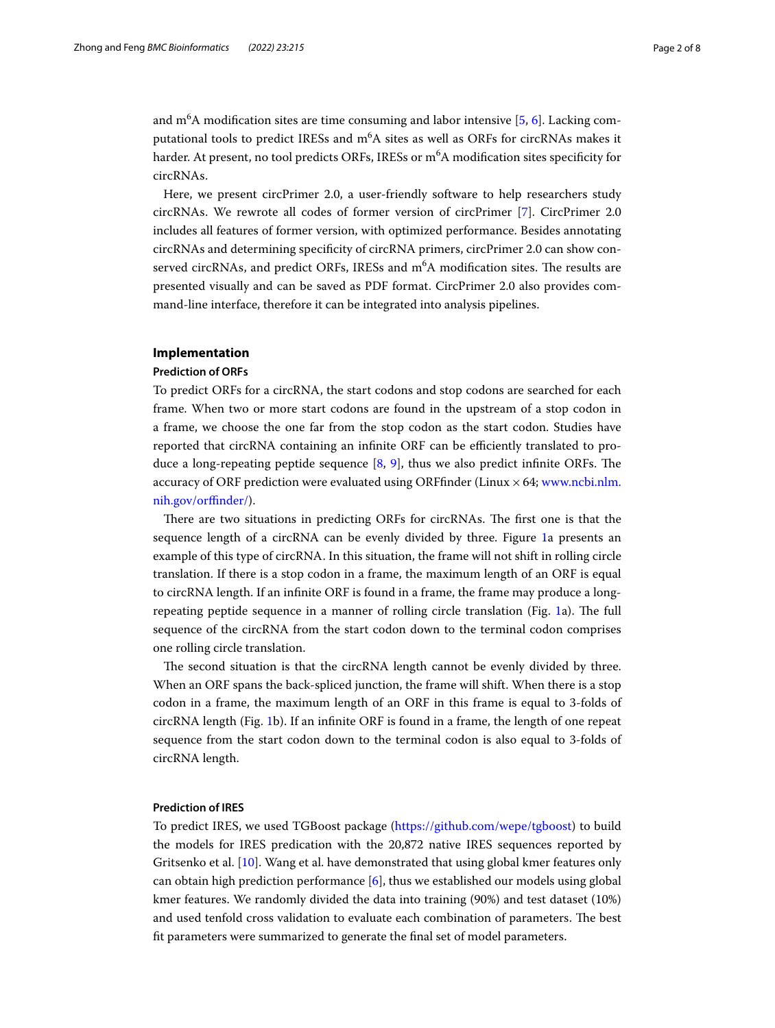and m $^{6}$ A modification sites are time consuming and labor intensive [[5,](#page-6-4) [6\]](#page-6-5). Lacking computational tools to predict IRESs and m<sup>6</sup>A sites as well as ORFs for circRNAs makes it harder. At present, no tool predicts ORFs, IRESs or m<sup>6</sup>A modification sites specificity for circRNAs.

Here, we present circPrimer 2.0, a user-friendly software to help researchers study circRNAs. We rewrote all codes of former version of circPrimer [\[7\]](#page-6-6). CircPrimer 2.0 includes all features of former version, with optimized performance. Besides annotating circRNAs and determining specifcity of circRNA primers, circPrimer 2.0 can show conserved circRNAs, and predict ORFs, IRESs and m<sup>6</sup>A modification sites. The results are presented visually and can be saved as PDF format. CircPrimer 2.0 also provides command-line interface, therefore it can be integrated into analysis pipelines.

# **Implementation**

#### **Prediction of ORFs**

To predict ORFs for a circRNA, the start codons and stop codons are searched for each frame. When two or more start codons are found in the upstream of a stop codon in a frame, we choose the one far from the stop codon as the start codon. Studies have reported that circRNA containing an infinite ORF can be efficiently translated to produce a long-repeating peptide sequence  $[8, 9]$  $[8, 9]$  $[8, 9]$  $[8, 9]$  $[8, 9]$ , thus we also predict infinite ORFs. The accuracy of ORF prediction were evaluated using ORFfinder (Linux  $\times$  64; [www.ncbi.nlm.](http://www.ncbi.nlm.nih.gov/orffinder/) [nih.gov/orfnder/\)](http://www.ncbi.nlm.nih.gov/orffinder/).

There are two situations in predicting ORFs for circRNAs. The first one is that the sequence length of a circRNA can be evenly divided by three. Figure [1](#page-2-0)a presents an example of this type of circRNA. In this situation, the frame will not shift in rolling circle translation. If there is a stop codon in a frame, the maximum length of an ORF is equal to circRNA length. If an infnite ORF is found in a frame, the frame may produce a long-repeating peptide sequence in a manner of rolling circle translation (Fig. [1a](#page-2-0)). The full sequence of the circRNA from the start codon down to the terminal codon comprises one rolling circle translation.

The second situation is that the circRNA length cannot be evenly divided by three. When an ORF spans the back-spliced junction, the frame will shift. When there is a stop codon in a frame, the maximum length of an ORF in this frame is equal to 3-folds of circRNA length (Fig. [1b](#page-2-0)). If an infnite ORF is found in a frame, the length of one repeat sequence from the start codon down to the terminal codon is also equal to 3-folds of circRNA length.

# **Prediction of IRES**

To predict IRES, we used TGBoost package ([https://github.com/wepe/tgboost\)](https://github.com/wepe/tgboost) to build the models for IRES predication with the 20,872 native IRES sequences reported by Gritsenko et al. [[10\]](#page-6-9). Wang et al. have demonstrated that using global kmer features only can obtain high prediction performance [\[6](#page-6-5)], thus we established our models using global kmer features. We randomly divided the data into training (90%) and test dataset (10%) and used tenfold cross validation to evaluate each combination of parameters. The best ft parameters were summarized to generate the fnal set of model parameters.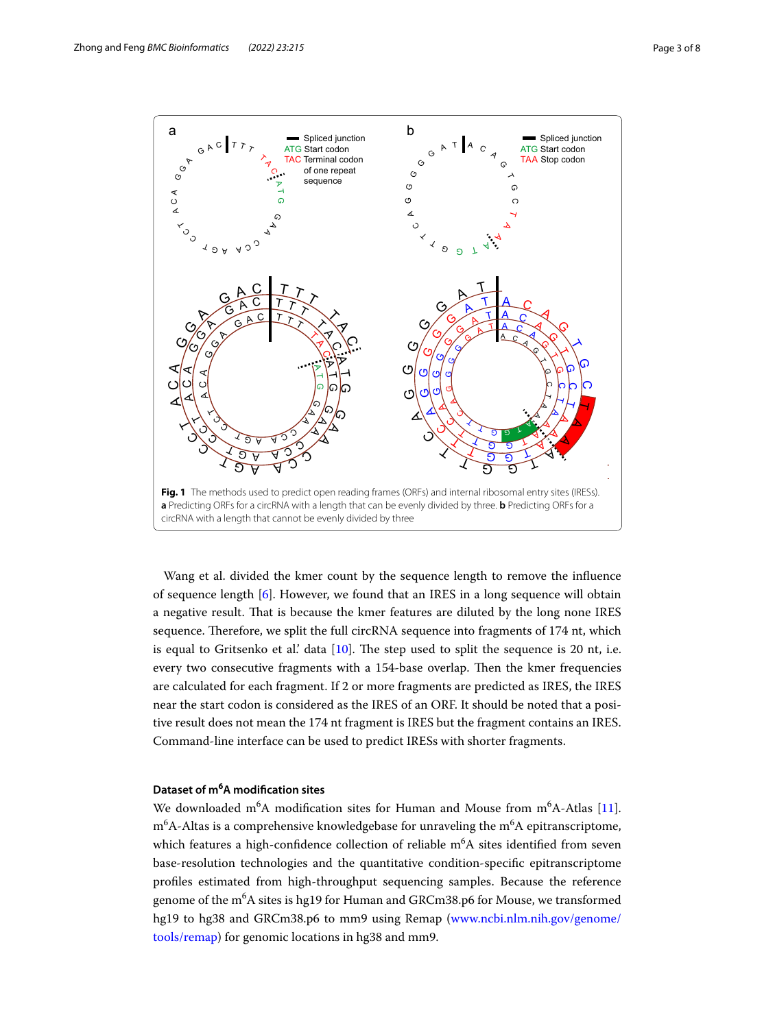

<span id="page-2-0"></span>Wang et al. divided the kmer count by the sequence length to remove the infuence of sequence length [[6\]](#page-6-5). However, we found that an IRES in a long sequence will obtain a negative result. Tat is because the kmer features are diluted by the long none IRES sequence. Therefore, we split the full circRNA sequence into fragments of 174 nt, which is equal to Gritsenko et al.' data  $[10]$  $[10]$ . The step used to split the sequence is 20 nt, i.e. every two consecutive fragments with a 154-base overlap. Then the kmer frequencies are calculated for each fragment. If 2 or more fragments are predicted as IRES, the IRES near the start codon is considered as the IRES of an ORF. It should be noted that a positive result does not mean the 174 nt fragment is IRES but the fragment contains an IRES. Command-line interface can be used to predict IRESs with shorter fragments.

# **Dataset of m<sup>6</sup> A modifcation sites**

We downloaded m<sup>6</sup>A modification sites for Human and Mouse from  $m<sup>6</sup>A$ -Atlas [\[11](#page-6-10)].  $\rm m^6$ A-Altas is a comprehensive knowledgebase for unraveling the  $\rm m^6$ A epitranscriptome, which features a high-confidence collection of reliable  $\text{m}^6\text{A}$  sites identified from seven base-resolution technologies and the quantitative condition-specifc epitranscriptome profles estimated from high-throughput sequencing samples. Because the reference genome of the m<sup>6</sup>A sites is hg19 for Human and GRCm38.p6 for Mouse, we transformed hg19 to hg38 and GRCm38.p6 to mm9 using Remap ([www.ncbi.nlm.nih.gov/genome/](http://www.ncbi.nlm.nih.gov/genome/tools/remap) [tools/remap](http://www.ncbi.nlm.nih.gov/genome/tools/remap)) for genomic locations in hg38 and mm9.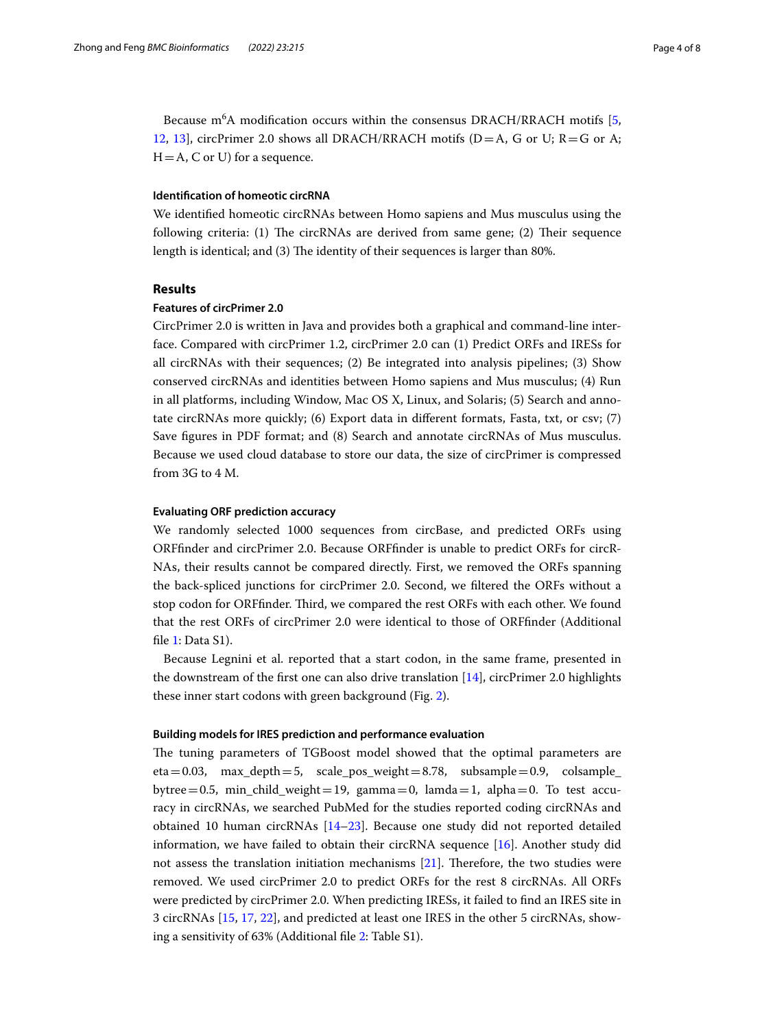Because  $m<sup>6</sup>A$  modification occurs within the consensus DRACH/RRACH motifs [\[5](#page-6-4), [12](#page-6-11), [13\]](#page-6-12), circPrimer 2.0 shows all DRACH/RRACH motifs ( $D = A$ , G or U;  $R = G$  or A;  $H = A$ , C or U) for a sequence.

# **Identifcation of homeotic circRNA**

We identifed homeotic circRNAs between Homo sapiens and Mus musculus using the following criteria:  $(1)$  The circRNAs are derived from same gene;  $(2)$  Their sequence length is identical; and (3) The identity of their sequences is larger than 80%.

# **Results**

#### **Features of circPrimer 2.0**

CircPrimer 2.0 is written in Java and provides both a graphical and command-line interface. Compared with circPrimer 1.2, circPrimer 2.0 can (1) Predict ORFs and IRESs for all circRNAs with their sequences; (2) Be integrated into analysis pipelines; (3) Show conserved circRNAs and identities between Homo sapiens and Mus musculus; (4) Run in all platforms, including Window, Mac OS X, Linux, and Solaris; (5) Search and annotate circRNAs more quickly; (6) Export data in diferent formats, Fasta, txt, or csv; (7) Save fgures in PDF format; and (8) Search and annotate circRNAs of Mus musculus. Because we used cloud database to store our data, the size of circPrimer is compressed from 3G to 4 M.

## **Evaluating ORF prediction accuracy**

We randomly selected 1000 sequences from circBase, and predicted ORFs using ORFfnder and circPrimer 2.0. Because ORFfnder is unable to predict ORFs for circR-NAs, their results cannot be compared directly. First, we removed the ORFs spanning the back-spliced junctions for circPrimer 2.0. Second, we fltered the ORFs without a stop codon for ORFfinder. Third, we compared the rest ORFs with each other. We found that the rest ORFs of circPrimer 2.0 were identical to those of ORFfnder (Additional fle [1](#page-5-0): Data S1).

Because Legnini et al. reported that a start codon, in the same frame, presented in the downstream of the first one can also drive translation  $[14]$  $[14]$ , circPrimer 2.0 highlights these inner start codons with green background (Fig. [2](#page-4-0)).

#### **Building models for IRES prediction and performance evaluation**

The tuning parameters of TGBoost model showed that the optimal parameters are  $eta=0.03$ ,  $max\_depth=5$ , scale\_pos\_weight=8.78, subsample=0.9, colsample\_ bytree=0.5, min\_child\_weight=19, gamma=0, lamda=1, alpha=0. To test accuracy in circRNAs, we searched PubMed for the studies reported coding circRNAs and obtained 10 human circRNAs [[14–](#page-6-13)[23](#page-7-0)]. Because one study did not reported detailed information, we have failed to obtain their circRNA sequence [[16](#page-6-14)]. Another study did not assess the translation initiation mechanisms [\[21](#page-6-15)]. Therefore, the two studies were removed. We used circPrimer 2.0 to predict ORFs for the rest 8 circRNAs. All ORFs were predicted by circPrimer 2.0. When predicting IRESs, it failed to fnd an IRES site in 3 circRNAs [[15,](#page-6-16) [17](#page-6-17), [22\]](#page-6-18), and predicted at least one IRES in the other 5 circRNAs, showing a sensitivity of 63% (Additional fle [2:](#page-5-1) Table S1).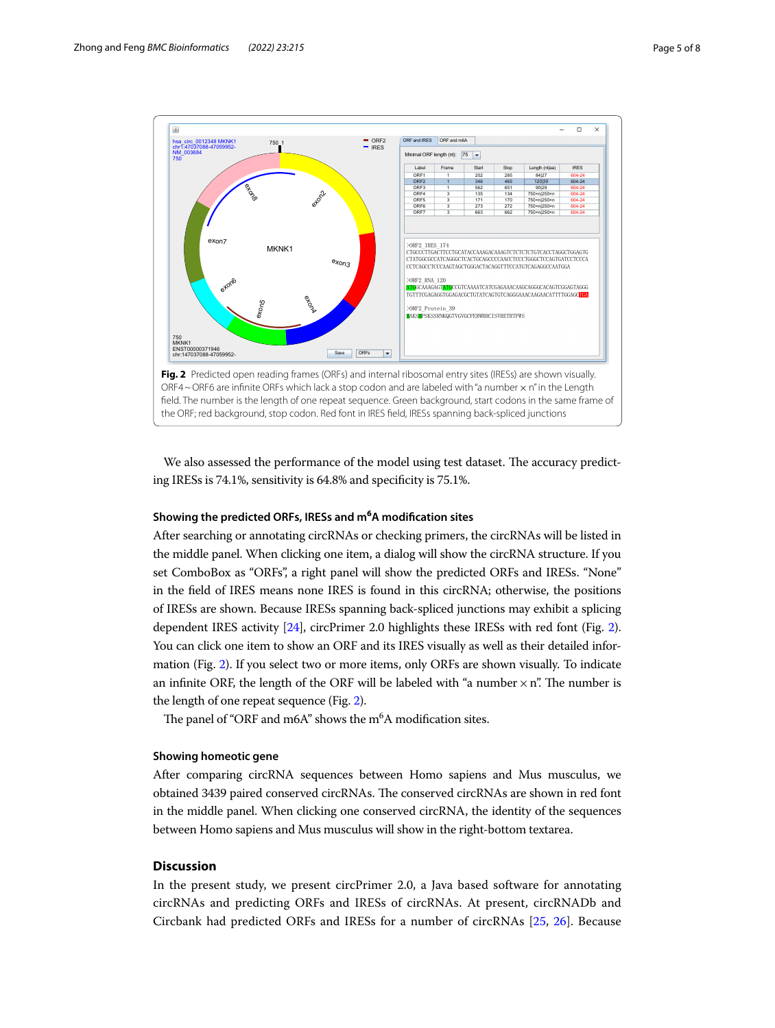

<span id="page-4-0"></span>We also assessed the performance of the model using test dataset. The accuracy predicting IRESs is 74.1%, sensitivity is 64.8% and specifcity is 75.1%.

# **Showing the predicted ORFs, IRESs and m<sup>6</sup> A modifcation sites**

After searching or annotating circRNAs or checking primers, the circRNAs will be listed in the middle panel. When clicking one item, a dialog will show the circRNA structure. If you set ComboBox as "ORFs", a right panel will show the predicted ORFs and IRESs. "None" in the feld of IRES means none IRES is found in this circRNA; otherwise, the positions of IRESs are shown. Because IRESs spanning back-spliced junctions may exhibit a splicing dependent IRES activity [[24](#page-7-1)], circPrimer 2.0 highlights these IRESs with red font (Fig. [2](#page-4-0)). You can click one item to show an ORF and its IRES visually as well as their detailed information (Fig. [2](#page-4-0)). If you select two or more items, only ORFs are shown visually. To indicate an infinite ORF, the length of the ORF will be labeled with "a number  $\times$  n". The number is the length of one repeat sequence (Fig. [2\)](#page-4-0).

The panel of "ORF and m6A" shows the  $m<sup>6</sup>A$  modification sites.

## **Showing homeotic gene**

After comparing circRNA sequences between Homo sapiens and Mus musculus, we obtained 3439 paired conserved circRNAs. The conserved circRNAs are shown in red font in the middle panel. When clicking one conserved circRNA, the identity of the sequences between Homo sapiens and Mus musculus will show in the right-bottom textarea.

# **Discussion**

In the present study, we present circPrimer 2.0, a Java based software for annotating circRNAs and predicting ORFs and IRESs of circRNAs. At present, circRNADb and Circbank had predicted ORFs and IRESs for a number of circRNAs [[25,](#page-7-2) [26](#page-7-3)]. Because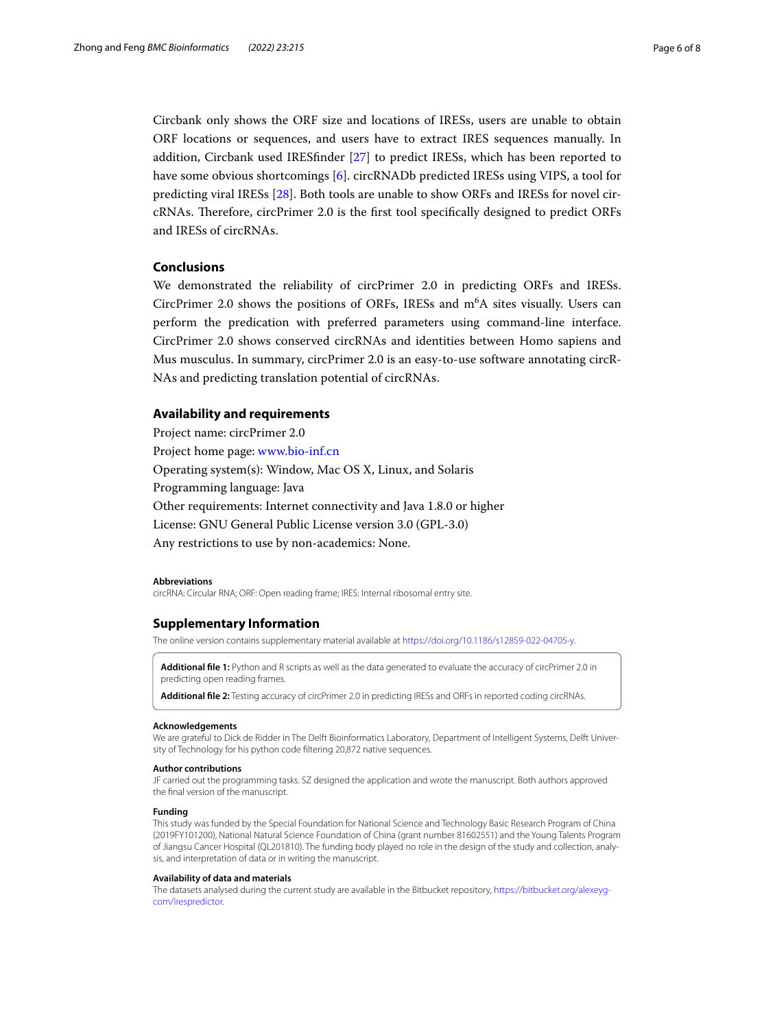Circbank only shows the ORF size and locations of IRESs, users are unable to obtain ORF locations or sequences, and users have to extract IRES sequences manually. In addition, Circbank used IRESfnder [[27](#page-7-4)] to predict IRESs, which has been reported to have some obvious shortcomings [[6\]](#page-6-5). circRNADb predicted IRESs using VIPS, a tool for predicting viral IRESs [\[28](#page-7-5)]. Both tools are unable to show ORFs and IRESs for novel circRNAs. Therefore, circPrimer 2.0 is the first tool specifically designed to predict ORFs and IRESs of circRNAs.

# **Conclusions**

We demonstrated the reliability of circPrimer 2.0 in predicting ORFs and IRESs. CircPrimer 2.0 shows the positions of ORFs, IRESs and  $m<sup>6</sup>A$  sites visually. Users can perform the predication with preferred parameters using command-line interface. CircPrimer 2.0 shows conserved circRNAs and identities between Homo sapiens and Mus musculus. In summary, circPrimer 2.0 is an easy-to-use software annotating circR-NAs and predicting translation potential of circRNAs.

## **Availability and requirements**

Project name: circPrimer 2.0 Project home page: [www.bio-inf.cn](http://www.bio-inf.cn) Operating system(s): Window, Mac OS X, Linux, and Solaris Programming language: Java Other requirements: Internet connectivity and Java 1.8.0 or higher License: GNU General Public License version 3.0 (GPL-3.0) Any restrictions to use by non-academics: None.

#### **Abbreviations**

circRNA: Circular RNA; ORF: Open reading frame; IRES: Internal ribosomal entry site.

## **Supplementary Information**

The online version contains supplementary material available at<https://doi.org/10.1186/s12859-022-04705-y>.

<span id="page-5-1"></span><span id="page-5-0"></span>**Additional fle 1:** Python and R scripts as well as the data generated to evaluate the accuracy of circPrimer 2.0 in predicting open reading frames.

**Additional fle 2:** Testing accuracy of circPrimer 2.0 in predicting IRESs and ORFs in reported coding circRNAs.

#### **Acknowledgements**

We are grateful to Dick de Ridder in The Delft Bioinformatics Laboratory, Department of Intelligent Systems, Delft University of Technology for his python code fltering 20,872 native sequences.

#### **Author contributions**

JF carried out the programming tasks. SZ designed the application and wrote the manuscript. Both authors approved the fnal version of the manuscript.

# **Funding**

This study was funded by the Special Foundation for National Science and Technology Basic Research Program of China (2019FY101200), National Natural Science Foundation of China (grant number 81602551) and the Young Talents Program of Jiangsu Cancer Hospital (QL201810). The funding body played no role in the design of the study and collection, analysis, and interpretation of data or in writing the manuscript.

#### **Availability of data and materials**

The datasets analysed during the current study are available in the Bitbucket repository, [https://bitbucket.org/alexeyg](https://bitbucket.org/alexeyg-com/irespredictor)[com/irespredictor](https://bitbucket.org/alexeyg-com/irespredictor).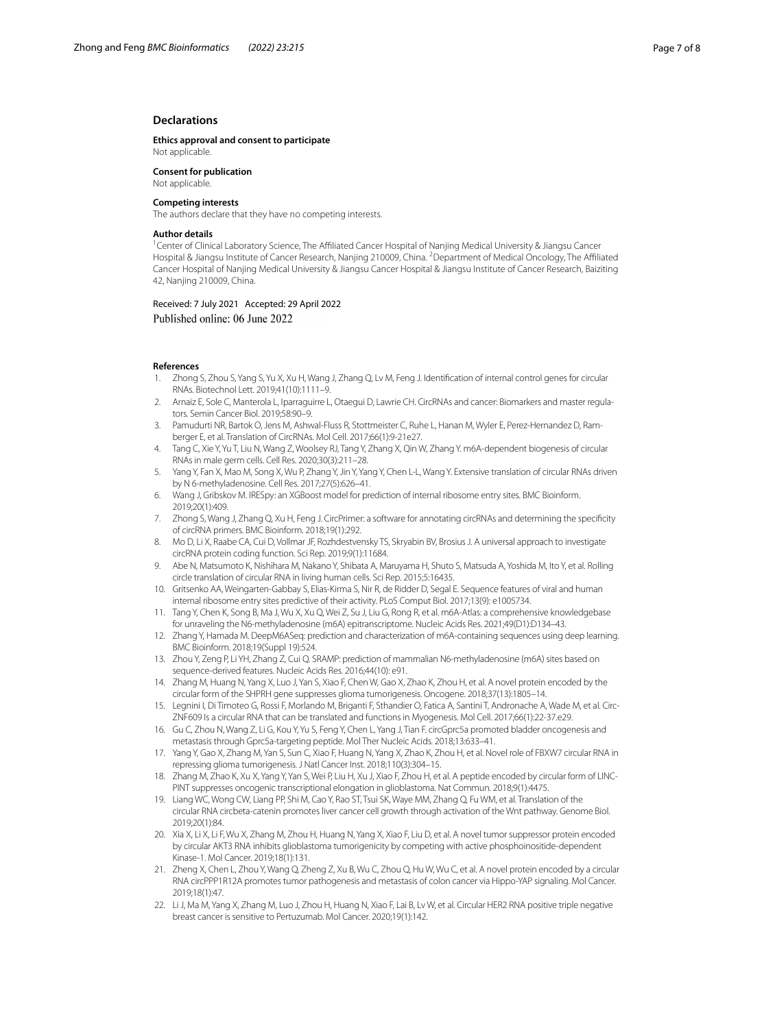# **Declarations**

**Ethics approval and consent to participate** Not applicable.

**Consent for publication** Not applicable.

#### **Competing interests**

The authors declare that they have no competing interests.

#### **Author details**

<sup>1</sup> Center of Clinical Laboratory Science, The Affiliated Cancer Hospital of Nanjing Medical University & Jiangsu Cancer Hospital & Jiangsu Institute of Cancer Research, Nanjing 210009, China. <sup>2</sup>Department of Medical Oncology, The Affiliated Cancer Hospital of Nanjing Medical University & Jiangsu Cancer Hospital & Jiangsu Institute of Cancer Research, Baiziting 42, Nanjing 210009, China.

Received: 7 July 2021 Accepted: 29 April 2022 Published online: 06 June 2022

## **References**

- <span id="page-6-0"></span>1. Zhong S, Zhou S, Yang S, Yu X, Xu H, Wang J, Zhang Q, Lv M, Feng J. Identifcation of internal control genes for circular RNAs. Biotechnol Lett. 2019;41(10):1111–9.
- <span id="page-6-1"></span>2. Arnaiz E, Sole C, Manterola L, Iparraguirre L, Otaegui D, Lawrie CH. CircRNAs and cancer: Biomarkers and master regulators. Semin Cancer Biol. 2019;58:90–9.
- <span id="page-6-2"></span>3. Pamudurti NR, Bartok O, Jens M, Ashwal-Fluss R, Stottmeister C, Ruhe L, Hanan M, Wyler E, Perez-Hernandez D, Ramberger E, et al. Translation of CircRNAs. Mol Cell. 2017;66(1):9-21e27.
- <span id="page-6-3"></span>4. Tang C, Xie Y, Yu T, Liu N, Wang Z, Woolsey RJ, Tang Y, Zhang X, Qin W, Zhang Y. m6A-dependent biogenesis of circular RNAs in male germ cells. Cell Res. 2020;30(3):211–28.
- <span id="page-6-4"></span>Yang Y, Fan X, Mao M, Song X, Wu P, Zhang Y, Jin Y, Yang Y, Chen L-L, Wang Y. Extensive translation of circular RNAs driven by N 6-methyladenosine. Cell Res. 2017;27(5):626–41.
- <span id="page-6-5"></span>6. Wang J, Gribskov M. IRESpy: an XGBoost model for prediction of internal ribosome entry sites. BMC Bioinform. 2019;20(1):409.
- <span id="page-6-6"></span>7. Zhong S, Wang J, Zhang Q, Xu H, Feng J. CircPrimer: a software for annotating circRNAs and determining the specifcity of circRNA primers. BMC Bioinform. 2018;19(1):292.
- <span id="page-6-7"></span>8. Mo D, Li X, Raabe CA, Cui D, Vollmar JF, Rozhdestvensky TS, Skryabin BV, Brosius J. A universal approach to investigate circRNA protein coding function. Sci Rep. 2019;9(1):11684.
- <span id="page-6-8"></span>9. Abe N, Matsumoto K, Nishihara M, Nakano Y, Shibata A, Maruyama H, Shuto S, Matsuda A, Yoshida M, Ito Y, et al. Rolling circle translation of circular RNA in living human cells. Sci Rep. 2015;5:16435.
- <span id="page-6-9"></span>10. Gritsenko AA, Weingarten-Gabbay S, Elias-Kirma S, Nir R, de Ridder D, Segal E. Sequence features of viral and human internal ribosome entry sites predictive of their activity. PLoS Comput Biol. 2017;13(9): e1005734.
- <span id="page-6-10"></span>11. Tang Y, Chen K, Song B, Ma J, Wu X, Xu Q, Wei Z, Su J, Liu G, Rong R, et al. m6A-Atlas: a comprehensive knowledgebase for unraveling the N6-methyladenosine (m6A) epitranscriptome. Nucleic Acids Res. 2021;49(D1):D134–43.
- <span id="page-6-11"></span>12. Zhang Y, Hamada M. DeepM6ASeq: prediction and characterization of m6A-containing sequences using deep learning. BMC Bioinform. 2018;19(Suppl 19):524.
- <span id="page-6-12"></span>13. Zhou Y, Zeng P, Li YH, Zhang Z, Cui Q. SRAMP: prediction of mammalian N6-methyladenosine (m6A) sites based on sequence-derived features. Nucleic Acids Res. 2016;44(10): e91.
- <span id="page-6-13"></span>14. Zhang M, Huang N, Yang X, Luo J, Yan S, Xiao F, Chen W, Gao X, Zhao K, Zhou H, et al. A novel protein encoded by the circular form of the SHPRH gene suppresses glioma tumorigenesis. Oncogene. 2018;37(13):1805–14.
- <span id="page-6-16"></span>15. Legnini I, Di Timoteo G, Rossi F, Morlando M, Briganti F, Sthandier O, Fatica A, Santini T, Andronache A, Wade M, et al. Circ-ZNF609 Is a circular RNA that can be translated and functions in Myogenesis. Mol Cell. 2017;66(1):22-37.e29.
- <span id="page-6-14"></span>16. Gu C, Zhou N, Wang Z, Li G, Kou Y, Yu S, Feng Y, Chen L, Yang J, Tian F. circGprc5a promoted bladder oncogenesis and metastasis through Gprc5a-targeting peptide. Mol Ther Nucleic Acids. 2018;13:633–41.
- <span id="page-6-17"></span>17. Yang Y, Gao X, Zhang M, Yan S, Sun C, Xiao F, Huang N, Yang X, Zhao K, Zhou H, et al. Novel role of FBXW7 circular RNA in repressing glioma tumorigenesis. J Natl Cancer Inst. 2018;110(3):304–15.
- 18. Zhang M, Zhao K, Xu X, Yang Y, Yan S, Wei P, Liu H, Xu J, Xiao F, Zhou H, et al. A peptide encoded by circular form of LINC-PINT suppresses oncogenic transcriptional elongation in glioblastoma. Nat Commun. 2018;9(1):4475.
- 19. Liang WC, Wong CW, Liang PP, Shi M, Cao Y, Rao ST, Tsui SK, Waye MM, Zhang Q, Fu WM, et al. Translation of the circular RNA circbeta-catenin promotes liver cancer cell growth through activation of the Wnt pathway. Genome Biol. 2019;20(1):84.
- 20. Xia X, Li X, Li F, Wu X, Zhang M, Zhou H, Huang N, Yang X, Xiao F, Liu D, et al. A novel tumor suppressor protein encoded by circular AKT3 RNA inhibits glioblastoma tumorigenicity by competing with active phosphoinositide-dependent Kinase-1. Mol Cancer. 2019;18(1):131.
- <span id="page-6-15"></span>21. Zheng X, Chen L, Zhou Y, Wang Q, Zheng Z, Xu B, Wu C, Zhou Q, Hu W, Wu C, et al. A novel protein encoded by a circular RNA circPPP1R12A promotes tumor pathogenesis and metastasis of colon cancer via Hippo-YAP signaling. Mol Cancer. 2019;18(1):47.
- <span id="page-6-18"></span>22. Li J, Ma M, Yang X, Zhang M, Luo J, Zhou H, Huang N, Xiao F, Lai B, Lv W, et al. Circular HER2 RNA positive triple negative breast cancer is sensitive to Pertuzumab. Mol Cancer. 2020;19(1):142.